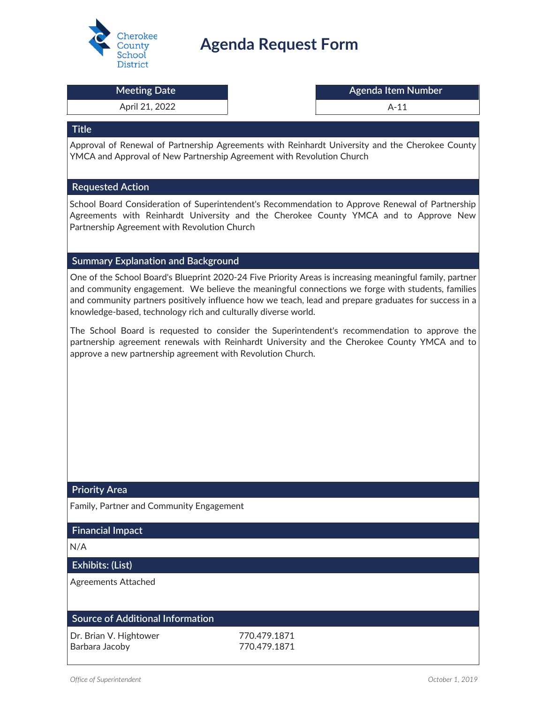

# **Agenda Request Form**

#### April 21, 2022 **A-11**

#### **Meeting Date Agenda Item Number Agenda Item Number**

#### **Title**

Approval of Renewal of Partnership Agreements with Reinhardt University and the Cherokee County YMCA and Approval of New Partnership Agreement with Revolution Church

#### **Requested Action**

School Board Consideration of Superintendent's Recommendation to Approve Renewal of Partnership Agreements with Reinhardt University and the Cherokee County YMCA and to Approve New Partnership Agreement with Revolution Church

#### **Summary Explanation and Background**

One of the School Board's Blueprint 2020-24 Five Priority Areas is increasing meaningful family, partner and community engagement. We believe the meaningful connections we forge with students, families and community partners positively influence how we teach, lead and prepare graduates for success in a knowledge-based, technology rich and culturally diverse world.

The School Board is requested to consider the Superintendent's recommendation to approve the partnership agreement renewals with Reinhardt University and the Cherokee County YMCA and to approve a new partnership agreement with Revolution Church.

#### **Priority Area**

Family, Partner and Community Engagement

#### **Financial Impact**

N/A

#### **Exhibits: (List)**

Agreements Attached

## **Source of Additional Information**

| Dr. Brian V. Hightower | 770.479.1871 |
|------------------------|--------------|
| Barbara Jacoby         | 770.479.1871 |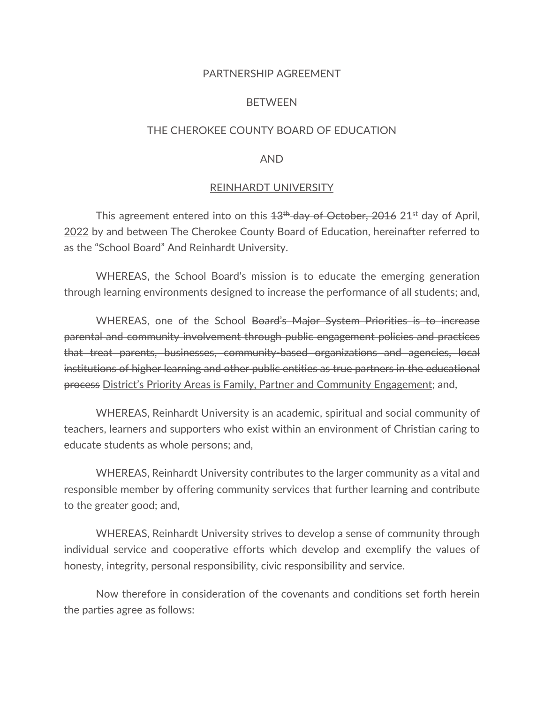#### PARTNERSHIP AGREEMENT

#### **BETWEEN**

#### THE CHEROKEE COUNTY BOARD OF EDUCATION

#### AND

#### REINHARDT UNIVERSITY

This agreement entered into on this  $13<sup>th</sup>$  day of October, 2016 21<sup>st</sup> day of April, 2022 by and between The Cherokee County Board of Education, hereinafter referred to as the "School Board" And Reinhardt University.

WHEREAS, the School Board's mission is to educate the emerging generation through learning environments designed to increase the performance of all students; and,

WHEREAS, one of the School Board's Major System Priorities is to increase parental and community involvement through public engagement policies and practices that treat parents, businesses, community-based organizations and agencies, local institutions of higher learning and other public entities as true partners in the educational process District's Priority Areas is Family, Partner and Community Engagement; and,

WHEREAS, Reinhardt University is an academic, spiritual and social community of teachers, learners and supporters who exist within an environment of Christian caring to educate students as whole persons; and,

WHEREAS, Reinhardt University contributes to the larger community as a vital and responsible member by offering community services that further learning and contribute to the greater good; and,

WHEREAS, Reinhardt University strives to develop a sense of community through individual service and cooperative efforts which develop and exemplify the values of honesty, integrity, personal responsibility, civic responsibility and service.

Now therefore in consideration of the covenants and conditions set forth herein the parties agree as follows: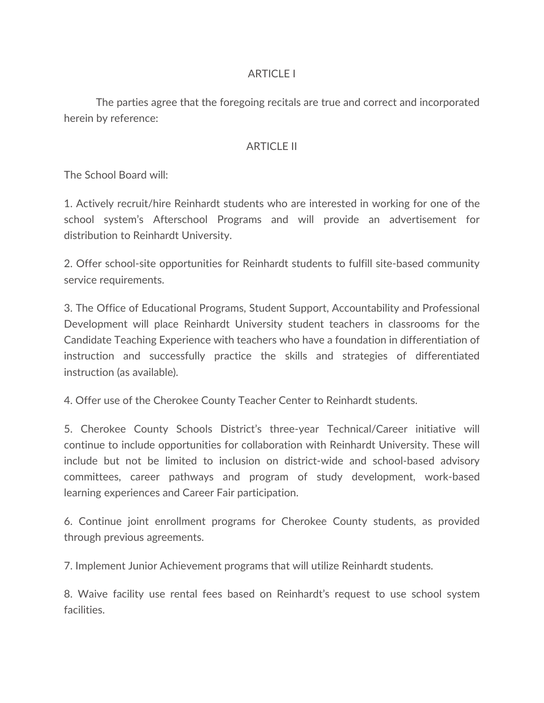## ARTICLE I

The parties agree that the foregoing recitals are true and correct and incorporated herein by reference:

## ARTICLE II

The School Board will:

1. Actively recruit/hire Reinhardt students who are interested in working for one of the school system's Afterschool Programs and will provide an advertisement for distribution to Reinhardt University.

2. Offer school-site opportunities for Reinhardt students to fulfill site-based community service requirements.

3. The Office of Educational Programs, Student Support, Accountability and Professional Development will place Reinhardt University student teachers in classrooms for the Candidate Teaching Experience with teachers who have a foundation in differentiation of instruction and successfully practice the skills and strategies of differentiated instruction (as available).

4. Offer use of the Cherokee County Teacher Center to Reinhardt students.

5. Cherokee County Schools District's three-year Technical/Career initiative will continue to include opportunities for collaboration with Reinhardt University. These will include but not be limited to inclusion on district-wide and school-based advisory committees, career pathways and program of study development, work-based learning experiences and Career Fair participation.

6. Continue joint enrollment programs for Cherokee County students, as provided through previous agreements.

7. Implement Junior Achievement programs that will utilize Reinhardt students.

8. Waive facility use rental fees based on Reinhardt's request to use school system facilities.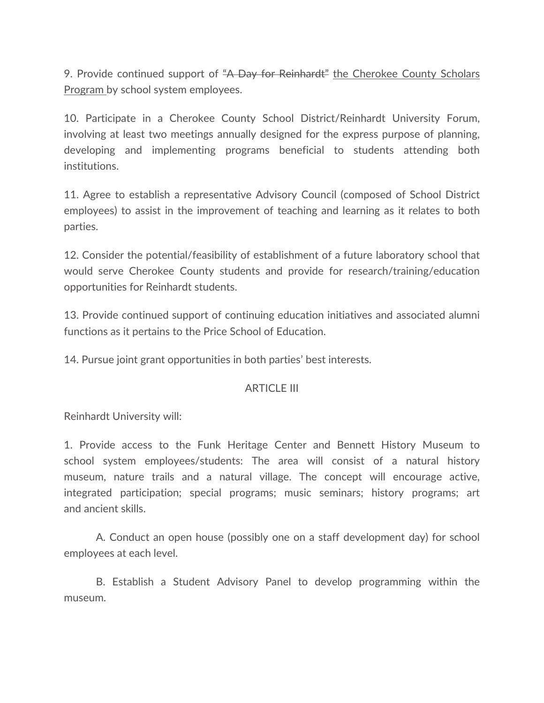9. Provide continued support of "A Day for Reinhardt" the Cherokee County Scholars Program by school system employees.

10. Participate in a Cherokee County School District/Reinhardt University Forum, involving at least two meetings annually designed for the express purpose of planning, developing and implementing programs beneficial to students attending both institutions.

11. Agree to establish a representative Advisory Council (composed of School District employees) to assist in the improvement of teaching and learning as it relates to both parties.

12. Consider the potential/feasibility of establishment of a future laboratory school that would serve Cherokee County students and provide for research/training/education opportunities for Reinhardt students.

13. Provide continued support of continuing education initiatives and associated alumni functions as it pertains to the Price School of Education.

14. Pursue joint grant opportunities in both parties' best interests.

## ARTICLE III

Reinhardt University will:

1. Provide access to the Funk Heritage Center and Bennett History Museum to school system employees/students: The area will consist of a natural history museum, nature trails and a natural village. The concept will encourage active, integrated participation; special programs; music seminars; history programs; art and ancient skills.

A. Conduct an open house (possibly one on a staff development day) for school employees at each level.

B. Establish a Student Advisory Panel to develop programming within the museum.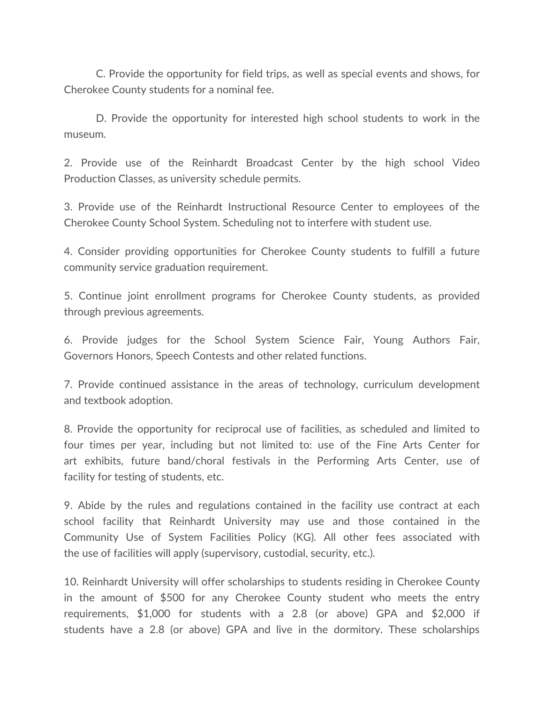C. Provide the opportunity for field trips, as well as special events and shows, for Cherokee County students for a nominal fee.

D. Provide the opportunity for interested high school students to work in the museum.

2. Provide use of the Reinhardt Broadcast Center by the high school Video Production Classes, as university schedule permits.

3. Provide use of the Reinhardt Instructional Resource Center to employees of the Cherokee County School System. Scheduling not to interfere with student use.

4. Consider providing opportunities for Cherokee County students to fulfill a future community service graduation requirement.

5. Continue joint enrollment programs for Cherokee County students, as provided through previous agreements.

6. Provide judges for the School System Science Fair, Young Authors Fair, Governors Honors, Speech Contests and other related functions.

7. Provide continued assistance in the areas of technology, curriculum development and textbook adoption.

8. Provide the opportunity for reciprocal use of facilities, as scheduled and limited to four times per year, including but not limited to: use of the Fine Arts Center for art exhibits, future band/choral festivals in the Performing Arts Center, use of facility for testing of students, etc.

9. Abide by the rules and regulations contained in the facility use contract at each school facility that Reinhardt University may use and those contained in the Community Use of System Facilities Policy (KG). All other fees associated with the use of facilities will apply (supervisory, custodial, security, etc.).

10. Reinhardt University will offer scholarships to students residing in Cherokee County in the amount of \$500 for any Cherokee County student who meets the entry requirements, \$1,000 for students with a 2.8 (or above) GPA and \$2,000 if students have a 2.8 (or above) GPA and live in the dormitory. These scholarships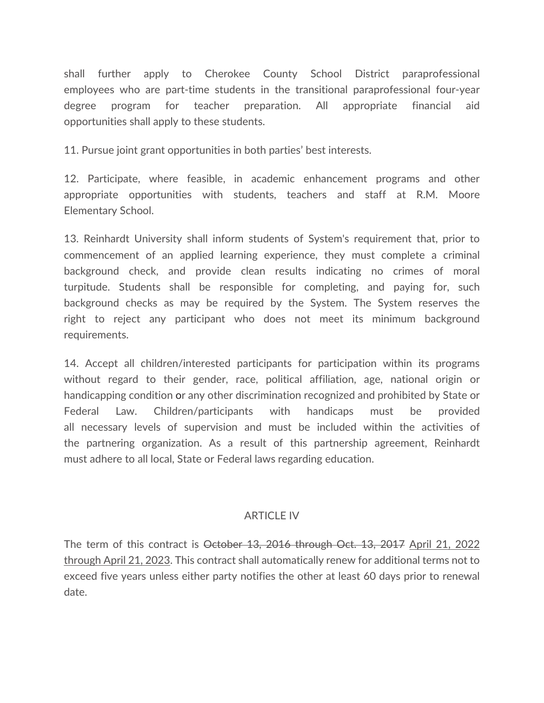shall further apply to Cherokee County School District paraprofessional employees who are part-time students in the transitional paraprofessional four-year degree program for teacher preparation. All appropriate financial aid opportunities shall apply to these students.

11. Pursue joint grant opportunities in both parties' best interests.

12. Participate, where feasible, in academic enhancement programs and other appropriate opportunities with students, teachers and staff at R.M. Moore Elementary School.

13. Reinhardt University shall inform students of System's requirement that, prior to commencement of an applied learning experience, they must complete a criminal background check, and provide clean results indicating no crimes of moral turpitude. Students shall be responsible for completing, and paying for, such background checks as may be required by the System. The System reserves the right to reject any participant who does not meet its minimum background requirements.

14. Accept all children/interested participants for participation within its programs without regard to their gender, race, political affiliation, age, national origin or handicapping condition or any other discrimination recognized and prohibited by State or Federal Law. Children/participants with handicaps must be provided all necessary levels of supervision and must be included within the activities of the partnering organization. As a result of this partnership agreement, Reinhardt must adhere to all local, State or Federal laws regarding education.

## ARTICLE IV

The term of this contract is October 13, 2016 through Oct. 13, 2017 April 21, 2022 through April 21, 2023. This contract shall automatically renew for additional terms not to exceed five years unless either party notifies the other at least 60 days prior to renewal date.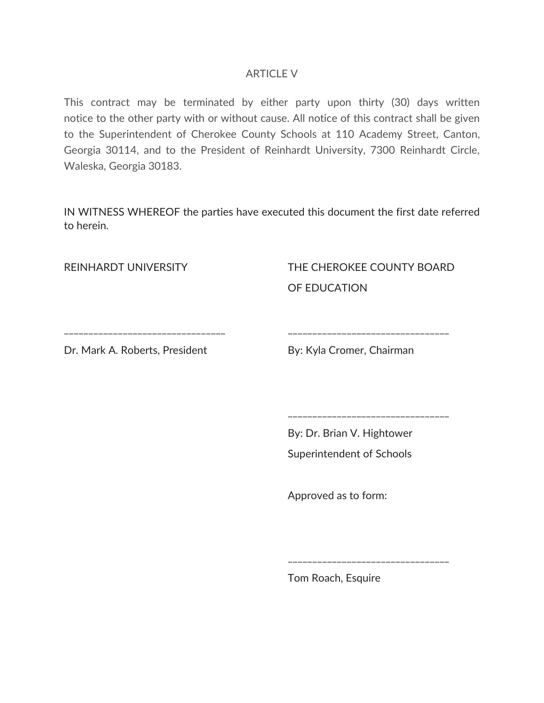## ARTICLE V

This contract may be terminated by either party upon thirty (30) days written notice to the other party with or without cause. All notice of this contract shall be given to the Superintendent of Cherokee County Schools at 110 Academy Street, Canton, Georgia 30114, and to the President of Reinhardt University, 7300 Reinhardt Circle, Waleska, Georgia 30183.

IN WITNESS WHEREOF the parties have executed this document the first date referred to herein.

REINHARDT UNIVERSITY

THE CHEROKEE COUNTY BOARD OF EDUCATION

\_\_\_\_\_\_\_\_\_\_\_\_\_\_\_\_\_\_\_\_\_\_\_\_\_\_\_\_\_\_\_\_\_

\_\_\_\_\_\_\_\_\_\_\_\_\_\_\_\_\_\_\_\_\_\_\_\_\_\_\_\_\_\_\_\_\_

\_\_\_\_\_\_\_\_\_\_\_\_\_\_\_\_\_\_\_\_\_\_\_\_\_\_\_\_\_\_\_\_\_

\_\_\_\_\_\_\_\_\_\_\_\_\_\_\_\_\_\_\_\_\_\_\_\_\_\_\_\_\_\_\_\_\_

Dr. Mark A. Roberts, President

By: Kyla Cromer, Chairman

By: Dr. Brian V. Hightower Superintendent of Schools

Approved as to form:

Tom Roach, Esquire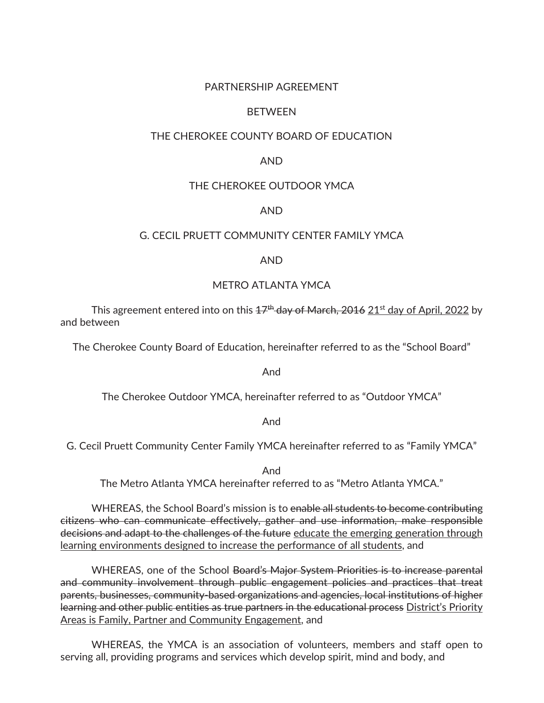#### PARTNERSHIP AGREEMENT

#### BETWEEN

#### THE CHEROKEE COUNTY BOARD OF EDUCATION

#### AND

#### THE CHEROKEE OUTDOOR YMCA

#### AND

#### G. CECIL PRUETT COMMUNITY CENTER FAMILY YMCA

#### AND

#### METRO ATLANTA YMCA

This agreement entered into on this  $47<sup>th</sup>$  day of March, 2016 21<sup>st</sup> day of April, 2022 by and between

The Cherokee County Board of Education, hereinafter referred to as the "School Board"

And

The Cherokee Outdoor YMCA, hereinafter referred to as "Outdoor YMCA"

And

G. Cecil Pruett Community Center Family YMCA hereinafter referred to as "Family YMCA"

And

The Metro Atlanta YMCA hereinafter referred to as "Metro Atlanta YMCA."

WHEREAS, the School Board's mission is to enable all students to become contributing citizens who can communicate effectively, gather and use information, make responsible decisions and adapt to the challenges of the future educate the emerging generation through learning environments designed to increase the performance of all students, and

WHEREAS, one of the School Board's Major System Priorities is to increase parental and community involvement through public engagement policies and practices that treat parents, businesses, community-based organizations and agencies, local institutions of higher learning and other public entities as true partners in the educational process District's Priority Areas is Family, Partner and Community Engagement, and

WHEREAS, the YMCA is an association of volunteers, members and staff open to serving all, providing programs and services which develop spirit, mind and body, and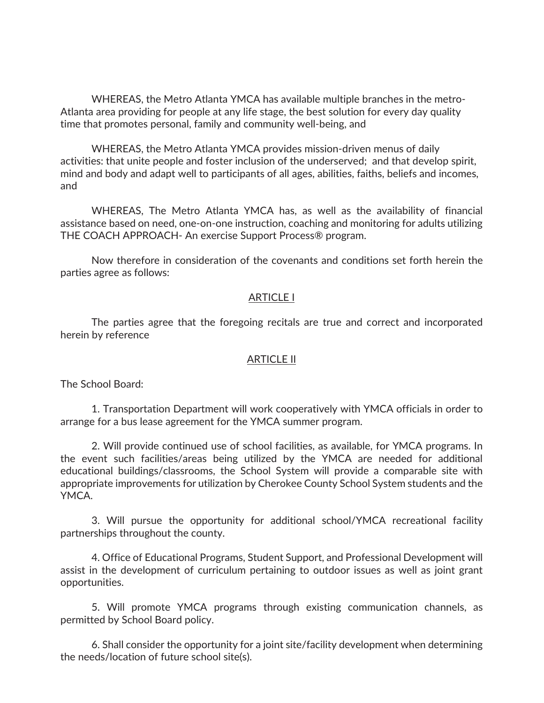WHEREAS, the Metro Atlanta YMCA has available multiple branches in the metro-Atlanta area providing for people at any life stage, the best solution for every day quality time that promotes personal, family and community well-being, and

 WHEREAS, the Metro Atlanta YMCA provides mission-driven menus of daily activities: that unite people and foster inclusion of the underserved; and that develop spirit, mind and body and adapt well to participants of all ages, abilities, faiths, beliefs and incomes, and

WHEREAS, The Metro Atlanta YMCA has, as well as the availability of financial assistance based on need, one-on-one instruction, coaching and monitoring for adults utilizing THE COACH APPROACH- An exercise Support Process® program.

Now therefore in consideration of the covenants and conditions set forth herein the parties agree as follows:

#### ARTICLE I

The parties agree that the foregoing recitals are true and correct and incorporated herein by reference

#### ARTICLE II

The School Board:

1. Transportation Department will work cooperatively with YMCA officials in order to arrange for a bus lease agreement for the YMCA summer program.

2. Will provide continued use of school facilities, as available, for YMCA programs. In the event such facilities/areas being utilized by the YMCA are needed for additional educational buildings/classrooms, the School System will provide a comparable site with appropriate improvements for utilization by Cherokee County School System students and the YMCA.

3. Will pursue the opportunity for additional school/YMCA recreational facility partnerships throughout the county.

4. Office of Educational Programs, Student Support, and Professional Development will assist in the development of curriculum pertaining to outdoor issues as well as joint grant opportunities.

5. Will promote YMCA programs through existing communication channels, as permitted by School Board policy.

6. Shall consider the opportunity for a joint site/facility development when determining the needs/location of future school site(s).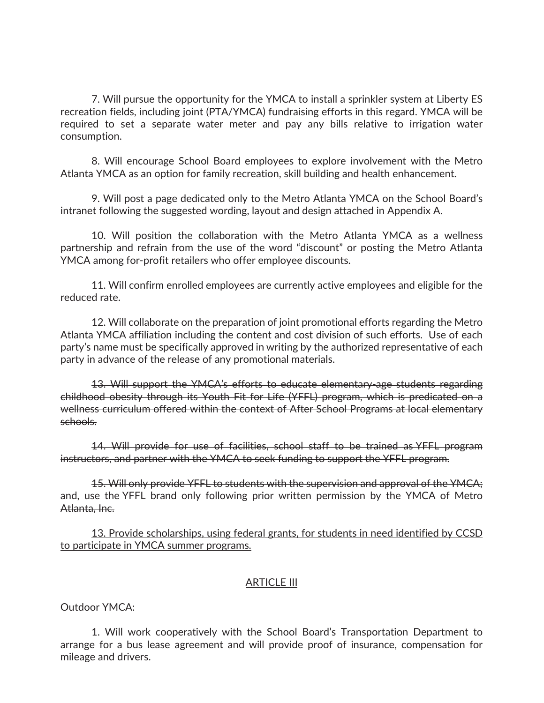7. Will pursue the opportunity for the YMCA to install a sprinkler system at Liberty ES recreation fields, including joint (PTA/YMCA) fundraising efforts in this regard. YMCA will be required to set a separate water meter and pay any bills relative to irrigation water consumption.

8. Will encourage School Board employees to explore involvement with the Metro Atlanta YMCA as an option for family recreation, skill building and health enhancement.

9. Will post a page dedicated only to the Metro Atlanta YMCA on the School Board's intranet following the suggested wording, layout and design attached in Appendix A.

10. Will position the collaboration with the Metro Atlanta YMCA as a wellness partnership and refrain from the use of the word "discount" or posting the Metro Atlanta YMCA among for-profit retailers who offer employee discounts.

11. Will confirm enrolled employees are currently active employees and eligible for the reduced rate.

12. Will collaborate on the preparation of joint promotional efforts regarding the Metro Atlanta YMCA affiliation including the content and cost division of such efforts. Use of each party's name must be specifically approved in writing by the authorized representative of each party in advance of the release of any promotional materials.

13. Will support the YMCA's efforts to educate elementary-age students regarding childhood obesity through its Youth Fit for Life (YFFL) program, which is predicated on a wellness curriculum offered within the context of After School Programs at local elementary schools.

14. Will provide for use of facilities, school staff to be trained as YFFL program instructors, and partner with the YMCA to seek funding to support the YFFL program.

15. Will only provide YFFL to students with the supervision and approval of the YMCA; and, use the YFFL brand only following prior written permission by the YMCA of Metro Atlanta, Inc.

13. Provide scholarships, using federal grants, for students in need identified by CCSD to participate in YMCA summer programs.

#### ARTICLE III

Outdoor YMCA:

1. Will work cooperatively with the School Board's Transportation Department to arrange for a bus lease agreement and will provide proof of insurance, compensation for mileage and drivers.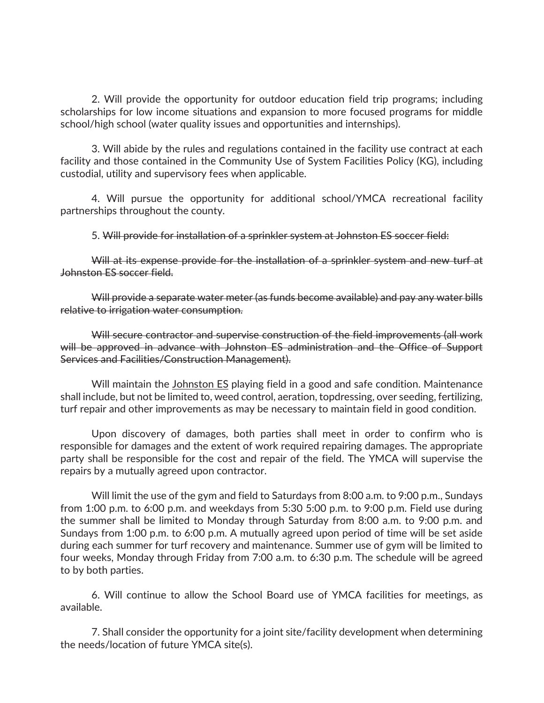2. Will provide the opportunity for outdoor education field trip programs; including scholarships for low income situations and expansion to more focused programs for middle school/high school (water quality issues and opportunities and internships).

3. Will abide by the rules and regulations contained in the facility use contract at each facility and those contained in the Community Use of System Facilities Policy (KG), including custodial, utility and supervisory fees when applicable.

4. Will pursue the opportunity for additional school/YMCA recreational facility partnerships throughout the county.

5. Will provide for installation of a sprinkler system at Johnston ES soccer field:

Will at its expense provide for the installation of a sprinkler system and new turf at Johnston ES soccer field.

Will provide a separate water meter (as funds become available) and pay any water bills relative to irrigation water consumption.

Will secure contractor and supervise construction of the field improvements (all work will be approved in advance with Johnston ES administration and the Office of Support Services and Facilities/Construction Management).

Will maintain the Johnston ES playing field in a good and safe condition. Maintenance shall include, but not be limited to, weed control, aeration, topdressing, over seeding, fertilizing, turf repair and other improvements as may be necessary to maintain field in good condition.

Upon discovery of damages, both parties shall meet in order to confirm who is responsible for damages and the extent of work required repairing damages. The appropriate party shall be responsible for the cost and repair of the field. The YMCA will supervise the repairs by a mutually agreed upon contractor.

Will limit the use of the gym and field to Saturdays from 8:00 a.m. to 9:00 p.m., Sundays from 1:00 p.m. to 6:00 p.m. and weekdays from 5:30 5:00 p.m. to 9:00 p.m. Field use during the summer shall be limited to Monday through Saturday from 8:00 a.m. to 9:00 p.m. and Sundays from 1:00 p.m. to 6:00 p.m. A mutually agreed upon period of time will be set aside during each summer for turf recovery and maintenance. Summer use of gym will be limited to four weeks, Monday through Friday from 7:00 a.m. to 6:30 p.m. The schedule will be agreed to by both parties.

6. Will continue to allow the School Board use of YMCA facilities for meetings, as available.

7. Shall consider the opportunity for a joint site/facility development when determining the needs/location of future YMCA site(s).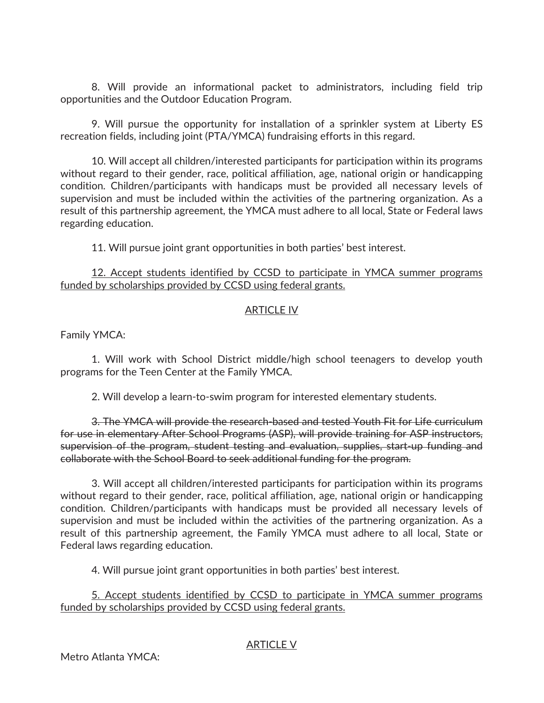8. Will provide an informational packet to administrators, including field trip opportunities and the Outdoor Education Program.

9. Will pursue the opportunity for installation of a sprinkler system at Liberty ES recreation fields, including joint (PTA/YMCA) fundraising efforts in this regard.

10. Will accept all children/interested participants for participation within its programs without regard to their gender, race, political affiliation, age, national origin or handicapping condition. Children/participants with handicaps must be provided all necessary levels of supervision and must be included within the activities of the partnering organization. As a result of this partnership agreement, the YMCA must adhere to all local, State or Federal laws regarding education.

11. Will pursue joint grant opportunities in both parties' best interest.

### 12. Accept students identified by CCSD to participate in YMCA summer programs funded by scholarships provided by CCSD using federal grants.

## ARTICLE IV

Family YMCA:

1. Will work with School District middle/high school teenagers to develop youth programs for the Teen Center at the Family YMCA.

2. Will develop a learn-to-swim program for interested elementary students.

3. The YMCA will provide the research-based and tested Youth Fit for Life curriculum for use in elementary After School Programs (ASP), will provide training for ASP instructors, supervision of the program, student testing and evaluation, supplies, start-up funding and collaborate with the School Board to seek additional funding for the program.

3. Will accept all children/interested participants for participation within its programs without regard to their gender, race, political affiliation, age, national origin or handicapping condition. Children/participants with handicaps must be provided all necessary levels of supervision and must be included within the activities of the partnering organization. As a result of this partnership agreement, the Family YMCA must adhere to all local, State or Federal laws regarding education.

4. Will pursue joint grant opportunities in both parties' best interest.

5. Accept students identified by CCSD to participate in YMCA summer programs funded by scholarships provided by CCSD using federal grants.

## ARTICLE V

Metro Atlanta YMCA: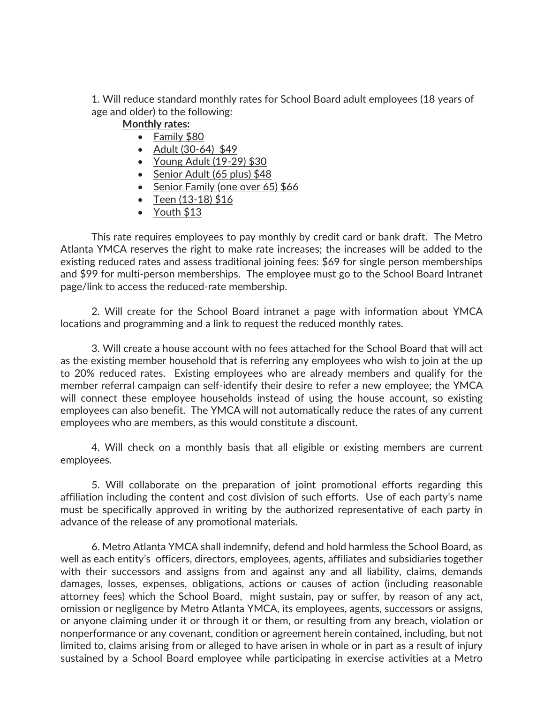1. Will reduce standard monthly rates for School Board adult employees (18 years of age and older) to the following:

## **Monthly rates:**

- Family  $$80$
- Adult  $(30-64)$  \$49
- $\bullet$  Young Adult (19-29) \$30
- Senior Adult (65 plus) \$48
- $\bullet$  Senior Family (one over 65) \$66
- $\cdot$  Teen (13-18) \$16
- Youth  $$13$

This rate requires employees to pay monthly by credit card or bank draft. The Metro Atlanta YMCA reserves the right to make rate increases; the increases will be added to the existing reduced rates and assess traditional joining fees: \$69 for single person memberships and \$99 for multi-person memberships. The employee must go to the School Board Intranet page/link to access the reduced-rate membership.

2. Will create for the School Board intranet a page with information about YMCA locations and programming and a link to request the reduced monthly rates.

3. Will create a house account with no fees attached for the School Board that will act as the existing member household that is referring any employees who wish to join at the up to 20% reduced rates. Existing employees who are already members and qualify for the member referral campaign can self-identify their desire to refer a new employee; the YMCA will connect these employee households instead of using the house account, so existing employees can also benefit. The YMCA will not automatically reduce the rates of any current employees who are members, as this would constitute a discount.

4. Will check on a monthly basis that all eligible or existing members are current employees.

5. Will collaborate on the preparation of joint promotional efforts regarding this affiliation including the content and cost division of such efforts. Use of each party's name must be specifically approved in writing by the authorized representative of each party in advance of the release of any promotional materials.

6. Metro Atlanta YMCA shall indemnify, defend and hold harmless the School Board, as well as each entity's officers, directors, employees, agents, affiliates and subsidiaries together with their successors and assigns from and against any and all liability, claims, demands damages, losses, expenses, obligations, actions or causes of action (including reasonable attorney fees) which the School Board, might sustain, pay or suffer, by reason of any act, omission or negligence by Metro Atlanta YMCA, its employees, agents, successors or assigns, or anyone claiming under it or through it or them, or resulting from any breach, violation or nonperformance or any covenant, condition or agreement herein contained, including, but not limited to, claims arising from or alleged to have arisen in whole or in part as a result of injury sustained by a School Board employee while participating in exercise activities at a Metro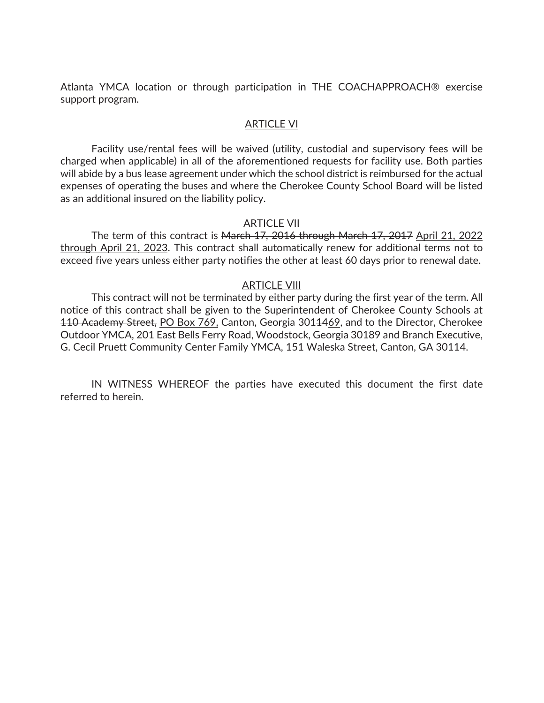Atlanta YMCA location or through participation in THE COACHAPPROACH® exercise support program.

#### ARTICLE VI

Facility use/rental fees will be waived (utility, custodial and supervisory fees will be charged when applicable) in all of the aforementioned requests for facility use. Both parties will abide by a bus lease agreement under which the school district is reimbursed for the actual expenses of operating the buses and where the Cherokee County School Board will be listed as an additional insured on the liability policy.

#### ARTICLE VII

The term of this contract is March 17, 2016 through March 17, 2017 April 21, 2022 through April 21, 2023. This contract shall automatically renew for additional terms not to exceed five years unless either party notifies the other at least 60 days prior to renewal date.

#### ARTICLE VIII

This contract will not be terminated by either party during the first year of the term. All notice of this contract shall be given to the Superintendent of Cherokee County Schools at 110 Academy Street, PO Box 769, Canton, Georgia 3011469, and to the Director, Cherokee Outdoor YMCA, 201 East Bells Ferry Road, Woodstock, Georgia 30189 and Branch Executive, G. Cecil Pruett Community Center Family YMCA, 151 Waleska Street, Canton, GA 30114.

IN WITNESS WHEREOF the parties have executed this document the first date referred to herein.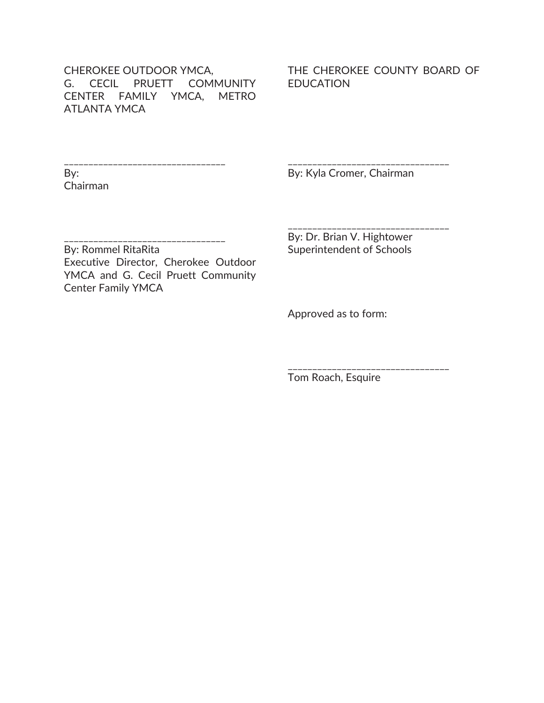CHEROKEE OUTDOOR YMCA, G. CECIL PRUETT COMMUNITY CENTER FAMILY YMCA, METRO ATLANTA YMCA

#### THE CHEROKEE COUNTY BOARD OF EDUCATION

\_\_\_\_\_\_\_\_\_\_\_\_\_\_\_\_\_\_\_\_\_\_\_\_\_\_\_\_\_\_\_\_\_ By: Chairman

By: Kyla Cromer, Chairman

\_\_\_\_\_\_\_\_\_\_\_\_\_\_\_\_\_\_\_\_\_\_\_\_\_\_\_\_\_\_\_\_\_

\_\_\_\_\_\_\_\_\_\_\_\_\_\_\_\_\_\_\_\_\_\_\_\_\_\_\_\_\_\_\_\_\_

\_\_\_\_\_\_\_\_\_\_\_\_\_\_\_\_\_\_\_\_\_\_\_\_\_\_\_\_\_\_\_\_\_

\_\_\_\_\_\_\_\_\_\_\_\_\_\_\_\_\_\_\_\_\_\_\_\_\_\_\_\_\_\_\_\_\_ By: Rommel RitaRita Executive Director, Cherokee Outdoor

YMCA and G. Cecil Pruett Community Center Family YMCA

By: Dr. Brian V. Hightower Superintendent of Schools

Approved as to form:

Tom Roach, Esquire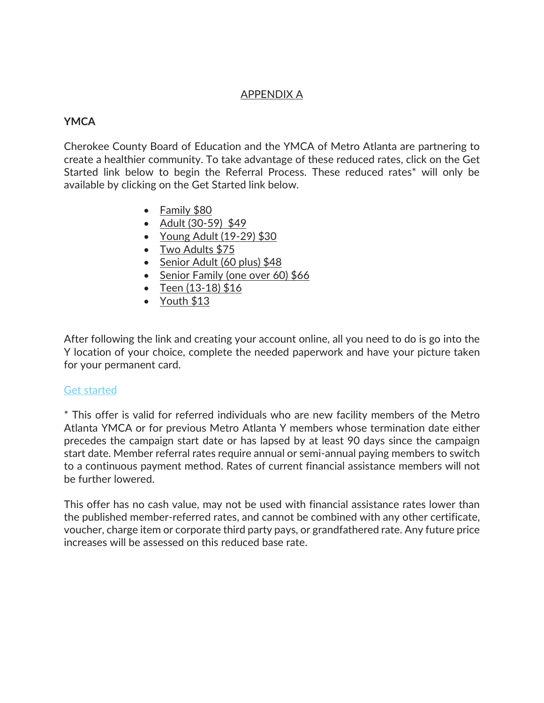## APPENDIX A

## **YMCA**

Cherokee County Board of Education and the YMCA of Metro Atlanta are partnering to create a healthier community. To take advantage of these reduced rates, click on the Get Started link below to begin the Referral Process. These reduced rates\* will only be available by clicking on the Get Started link below.

- $\bullet$  Family \$80
- Adult  $(30-59)$  \$49
- Young Adult  $(19-29)$  \$30
- $\bullet$  Two Adults \$75
- Senior Adult (60 plus)  $$48$
- Senior Family (one over 60)  $$66$
- Teen  $(13-18)$  \$16
- Youth  $$13$

After following the link and creating your account online, all you need to do is go into the Y location of your choice, complete the needed paperwork and have your picture taken for your permanent card.

### Get started

\* This offer is valid for referred individuals who are new facility members of the Metro Atlanta YMCA or for previous Metro Atlanta Y members whose termination date either precedes the campaign start date or has lapsed by at least 90 days since the campaign start date. Member referral rates require annual or semi-annual paying members to switch to a continuous payment method. Rates of current financial assistance members will not be further lowered.

This offer has no cash value, may not be used with financial assistance rates lower than the published member-referred rates, and cannot be combined with any other certificate, voucher, charge item or corporate third party pays, or grandfathered rate. Any future price increases will be assessed on this reduced base rate.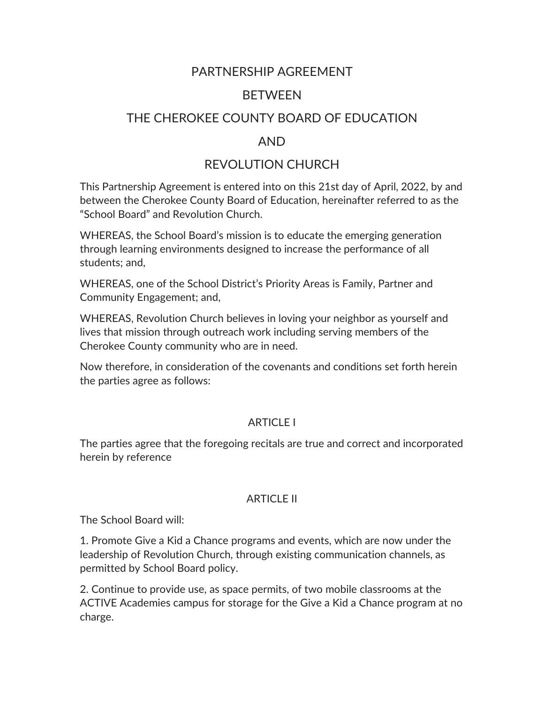## PARTNERSHIP AGREEMENT

## **BETWEEN**

## THE CHEROKEE COUNTY BOARD OF EDUCATION

## AND

## REVOLUTION CHURCH

This Partnership Agreement is entered into on this 21st day of April, 2022, by and between the Cherokee County Board of Education, hereinafter referred to as the "School Board" and Revolution Church.

WHEREAS, the School Board's mission is to educate the emerging generation through learning environments designed to increase the performance of all students; and,

WHEREAS, one of the School District's Priority Areas is Family, Partner and Community Engagement; and,

WHEREAS, Revolution Church believes in loving your neighbor as yourself and lives that mission through outreach work including serving members of the Cherokee County community who are in need.

Now therefore, in consideration of the covenants and conditions set forth herein the parties agree as follows:

## **ARTICLE I**

The parties agree that the foregoing recitals are true and correct and incorporated herein by reference

## ARTICLE II

The School Board will:

1. Promote Give a Kid a Chance programs and events, which are now under the leadership of Revolution Church, through existing communication channels, as permitted by School Board policy.

2. Continue to provide use, as space permits, of two mobile classrooms at the ACTIVE Academies campus for storage for the Give a Kid a Chance program at no charge.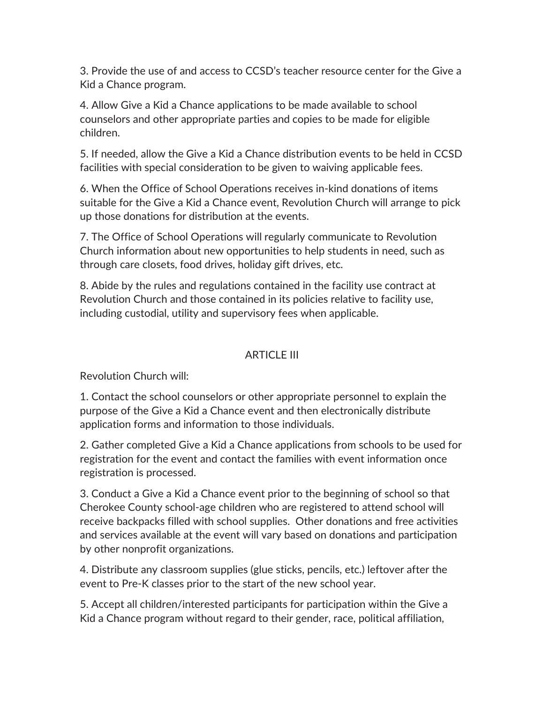3. Provide the use of and access to CCSD's teacher resource center for the Give a Kid a Chance program.

4. Allow Give a Kid a Chance applications to be made available to school counselors and other appropriate parties and copies to be made for eligible children.

5. If needed, allow the Give a Kid a Chance distribution events to be held in CCSD facilities with special consideration to be given to waiving applicable fees.

6. When the Office of School Operations receives in-kind donations of items suitable for the Give a Kid a Chance event, Revolution Church will arrange to pick up those donations for distribution at the events.

7. The Office of School Operations will regularly communicate to Revolution Church information about new opportunities to help students in need, such as through care closets, food drives, holiday gift drives, etc.

8. Abide by the rules and regulations contained in the facility use contract at Revolution Church and those contained in its policies relative to facility use, including custodial, utility and supervisory fees when applicable.

## ARTICLE III

Revolution Church will:

1. Contact the school counselors or other appropriate personnel to explain the purpose of the Give a Kid a Chance event and then electronically distribute application forms and information to those individuals.

2. Gather completed Give a Kid a Chance applications from schools to be used for registration for the event and contact the families with event information once registration is processed.

3. Conduct a Give a Kid a Chance event prior to the beginning of school so that Cherokee County school-age children who are registered to attend school will receive backpacks filled with school supplies. Other donations and free activities and services available at the event will vary based on donations and participation by other nonprofit organizations.

4. Distribute any classroom supplies (glue sticks, pencils, etc.) leftover after the event to Pre-K classes prior to the start of the new school year.

5. Accept all children/interested participants for participation within the Give a Kid a Chance program without regard to their gender, race, political affiliation,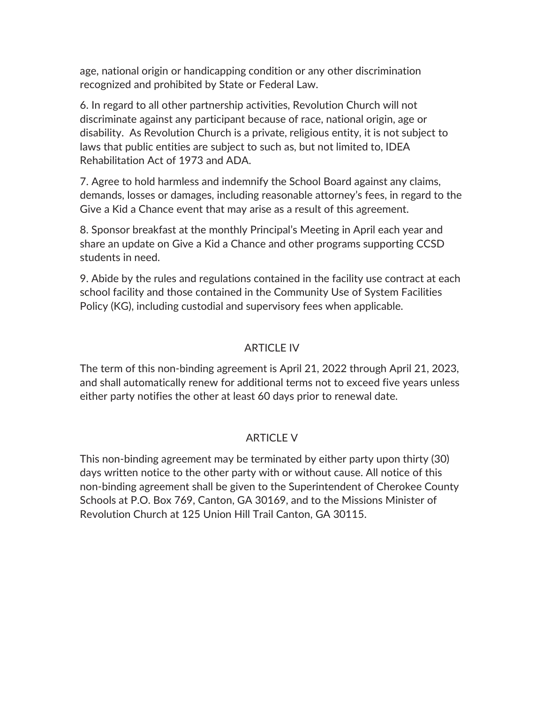age, national origin or handicapping condition or any other discrimination recognized and prohibited by State or Federal Law.

6. In regard to all other partnership activities, Revolution Church will not discriminate against any participant because of race, national origin, age or disability. As Revolution Church is a private, religious entity, it is not subject to laws that public entities are subject to such as, but not limited to, IDEA Rehabilitation Act of 1973 and ADA.

7. Agree to hold harmless and indemnify the School Board against any claims, demands, losses or damages, including reasonable attorney's fees, in regard to the Give a Kid a Chance event that may arise as a result of this agreement.

8. Sponsor breakfast at the monthly Principal's Meeting in April each year and share an update on Give a Kid a Chance and other programs supporting CCSD students in need.

9. Abide by the rules and regulations contained in the facility use contract at each school facility and those contained in the Community Use of System Facilities Policy (KG), including custodial and supervisory fees when applicable.

## ARTICLE IV

The term of this non-binding agreement is April 21, 2022 through April 21, 2023, and shall automatically renew for additional terms not to exceed five years unless either party notifies the other at least 60 days prior to renewal date.

## ARTICLE V

This non-binding agreement may be terminated by either party upon thirty (30) days written notice to the other party with or without cause. All notice of this non-binding agreement shall be given to the Superintendent of Cherokee County Schools at P.O. Box 769, Canton, GA 30169, and to the Missions Minister of Revolution Church at 125 Union Hill Trail Canton, GA 30115.